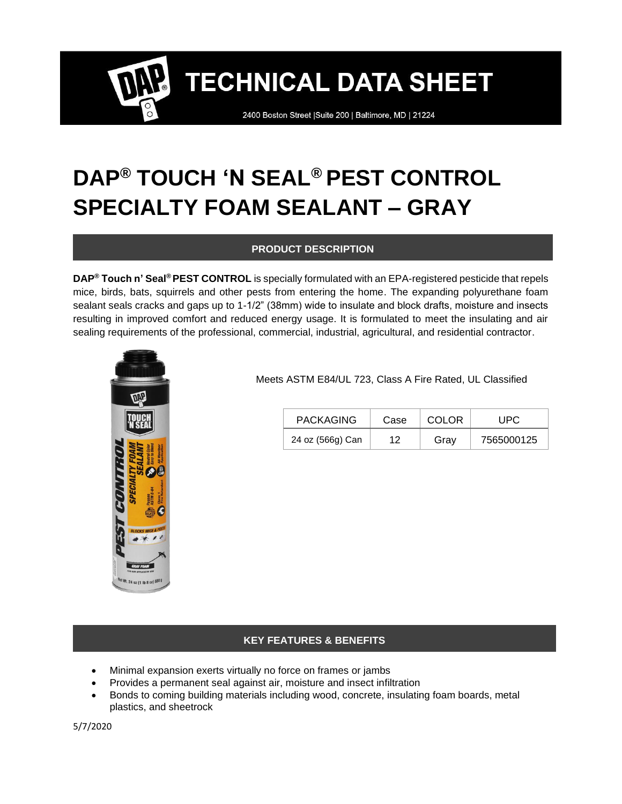2400 Boston Street | Suite 200 | Baltimore, MD | 21224

## **DAP® TOUCH 'N SEAL® PEST CONTROL SPECIALTY FOAM SEALANT – GRAY**

#### **PRODUCT DESCRIPTION**

**DAP® Touch n' Seal® PEST CONTROL** is specially formulated with an EPA-registered pesticide that repels mice, birds, bats, squirrels and other pests from entering the home. The expanding polyurethane foam sealant seals cracks and gaps up to 1-1/2" (38mm) wide to insulate and block drafts, moisture and insects resulting in improved comfort and reduced energy usage. It is formulated to meet the insulating and air sealing requirements of the professional, commercial, industrial, agricultural, and residential contractor.



Meets ASTM E84/UL 723, Class A Fire Rated, UL Classified

| <b>PACKAGING</b> | Case | COLOR | UPC        |
|------------------|------|-------|------------|
| 24 oz (566g) Can | 12   | Grav  | 7565000125 |

#### **KEY FEATURES & BENEFITS**

- Minimal expansion exerts virtually no force on frames or jambs
- Provides a permanent seal against air, moisture and insect infiltration
- Bonds to coming building materials including wood, concrete, insulating foam boards, metal plastics, and sheetrock

5/7/2020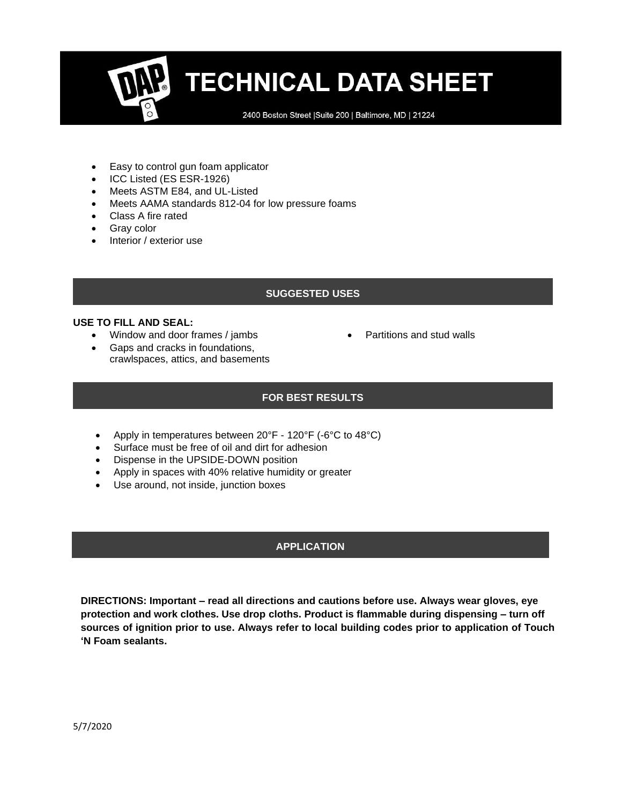2400 Boston Street | Suite 200 | Baltimore, MD | 21224

- Easy to control gun foam applicator
- ICC Listed (ES ESR-1926)
- Meets ASTM E84, and UL-Listed
- Meets AAMA standards 812-04 for low pressure foams
- Class A fire rated
- Gray color
- Interior / exterior use

#### **SUGGESTED USES**

• Partitions and stud walls

#### **USE TO FILL AND SEAL:**

- Window and door frames / jambs
- Gaps and cracks in foundations,
	- crawlspaces, attics, and basements

#### **FOR BEST RESULTS**

- Apply in temperatures between 20°F 120°F (-6°C to 48°C)
- Surface must be free of oil and dirt for adhesion
- Dispense in the UPSIDE-DOWN position
- Apply in spaces with 40% relative humidity or greater
- Use around, not inside, junction boxes

### **APPLICATION**

**DIRECTIONS: Important – read all directions and cautions before use. Always wear gloves, eye protection and work clothes. Use drop cloths. Product is flammable during dispensing – turn off sources of ignition prior to use. Always refer to local building codes prior to application of Touch 'N Foam sealants.**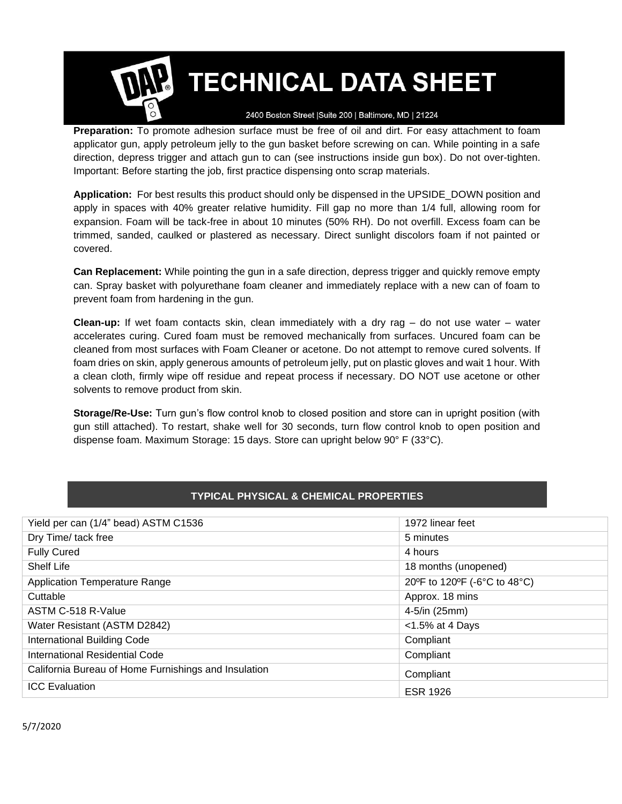

2400 Boston Street | Suite 200 | Baltimore, MD | 21224

**Preparation:** To promote adhesion surface must be free of oil and dirt. For easy attachment to foam applicator gun, apply petroleum jelly to the gun basket before screwing on can. While pointing in a safe direction, depress trigger and attach gun to can (see instructions inside gun box). Do not over-tighten. Important: Before starting the job, first practice dispensing onto scrap materials.

**Application:** For best results this product should only be dispensed in the UPSIDE\_DOWN position and apply in spaces with 40% greater relative humidity. Fill gap no more than 1/4 full, allowing room for expansion. Foam will be tack-free in about 10 minutes (50% RH). Do not overfill. Excess foam can be trimmed, sanded, caulked or plastered as necessary. Direct sunlight discolors foam if not painted or covered.

**Can Replacement:** While pointing the gun in a safe direction, depress trigger and quickly remove empty can. Spray basket with polyurethane foam cleaner and immediately replace with a new can of foam to prevent foam from hardening in the gun.

**Clean-up:** If wet foam contacts skin, clean immediately with a dry rag – do not use water – water accelerates curing. Cured foam must be removed mechanically from surfaces. Uncured foam can be cleaned from most surfaces with Foam Cleaner or acetone. Do not attempt to remove cured solvents. If foam dries on skin, apply generous amounts of petroleum jelly, put on plastic gloves and wait 1 hour. With a clean cloth, firmly wipe off residue and repeat process if necessary. DO NOT use acetone or other solvents to remove product from skin.

**Storage/Re-Use:** Turn gun's flow control knob to closed position and store can in upright position (with gun still attached). To restart, shake well for 30 seconds, turn flow control knob to open position and dispense foam. Maximum Storage: 15 days. Store can upright below 90° F (33°C).

#### **TYPICAL PHYSICAL & CHEMICAL PROPERTIES**

| Yield per can (1/4" bead) ASTM C1536                 | 1972 linear feet             |
|------------------------------------------------------|------------------------------|
| Dry Time/ tack free                                  | 5 minutes                    |
| <b>Fully Cured</b>                                   | 4 hours                      |
| Shelf Life                                           | 18 months (unopened)         |
| <b>Application Temperature Range</b>                 | 20°F to 120°F (-6°C to 48°C) |
| Cuttable                                             | Approx. 18 mins              |
| ASTM C-518 R-Value                                   | 4-5/in (25mm)                |
| Water Resistant (ASTM D2842)                         | $<$ 1.5% at 4 Days           |
| <b>International Building Code</b>                   | Compliant                    |
| International Residential Code                       | Compliant                    |
| California Bureau of Home Furnishings and Insulation | Compliant                    |
| <b>ICC</b> Evaluation                                | <b>ESR 1926</b>              |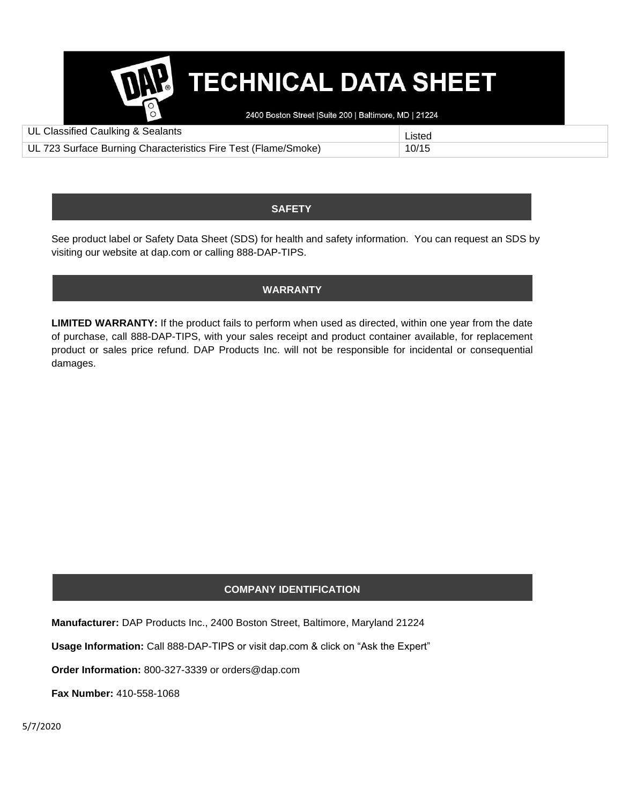

2400 Boston Street | Suite 200 | Baltimore, MD | 21224

| UL Classified Caulking & Sealants                              | Listed |
|----------------------------------------------------------------|--------|
| UL 723 Surface Burning Characteristics Fire Test (Flame/Smoke) | 10/15  |

### **SAFETY**

See product label or Safety Data Sheet (SDS) for health and safety information. You can request an SDS by visiting our website at dap.com or calling 888-DAP-TIPS.

### **WARRANTY**

**LIMITED WARRANTY:** If the product fails to perform when used as directed, within one year from the date of purchase, call 888-DAP-TIPS, with your sales receipt and product container available, for replacement product or sales price refund. DAP Products Inc. will not be responsible for incidental or consequential damages.

### **COMPANY IDENTIFICATION**

**Manufacturer:** DAP Products Inc., 2400 Boston Street, Baltimore, Maryland 21224

**Usage Information:** Call 888-DAP-TIPS or visit dap.com & click on "Ask the Expert"

**Order Information:** 800-327-3339 or orders@dap.com

**Fax Number:** 410-558-1068

5/7/2020